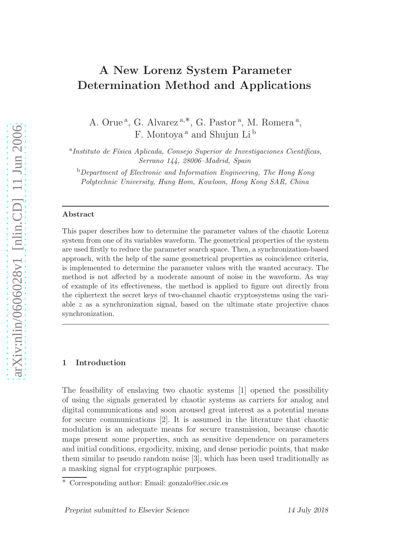# A New Lorenz System Parameter Determination Method and Applications

A. Orue<sup>a</sup>, G. Alvarez<sup>a,\*</sup>, G. Pastor<sup>a</sup>, M. Romera<sup>a</sup>, F. Montoya <sup>a</sup> and Shujun Li <sup>b</sup>

<sup>a</sup> Instituto de Física Aplicada, Consejo Superior de Investigaciones Científicas, Serrano 144, 28006–Madrid, Spain

<sup>b</sup>Department of Electronic and Information Engineering, The Hong Kong Polytechnic University, Hung Hom, Kowloon, Hong Kong SAR, China

#### Abstract

This paper describes how to determine the parameter values of the chaotic Lorenz system from one of its variables waveform. The geometrical properties of the system are used firstly to reduce the parameter search space. Then, a synchronization-based approach, with the help of the same geometrical properties as coincidence criteria, is implemented to determine the parameter values with the wanted accuracy. The method is not affected by a moderate amount of noise in the waveform. As way of example of its effectiveness, the method is applied to figure out directly from the ciphertext the secret keys of two-channel chaotic cryptosystems using the variable  $z$  as a synchronization signal, based on the ultimate state projective chaos synchronization.

# 1 Introduction

The feasibility of enslaving two chaotic systems [1] opened the possibility of using the signals generated by chaotic systems as carriers for analog and digital communications and soon aroused great interest as a potential means for secure communications [2]. It is assumed in the literature that chaotic modulation is an adequate means for secure transmission, because chaotic maps present some properties, such as sensitive dependence on parameters and initial conditions, ergodicity, mixing, and dense periodic points, that make them similar to pseudo random noise [3], which has been used traditionally as a masking signal for cryptographic purposes.

<sup>∗</sup> Corresponding author: Email: gonzalo@iec.csic.es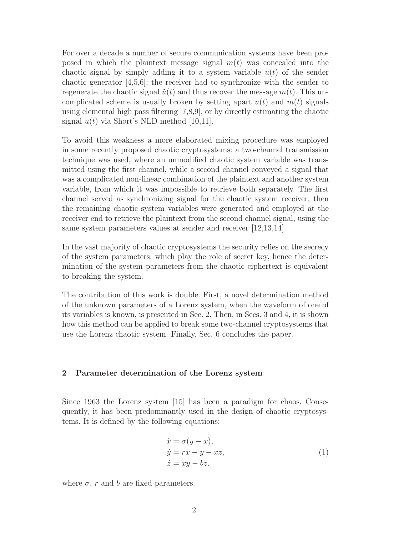For over a decade a number of secure communication systems have been proposed in which the plaintext message signal  $m(t)$  was concealed into the chaotic signal by simply adding it to a system variable  $u(t)$  of the sender chaotic generator [4,5,6]; the receiver had to synchronize with the sender to regenerate the chaotic signal  $\tilde{u}(t)$  and thus recover the message  $m(t)$ . This uncomplicated scheme is usually broken by setting apart  $u(t)$  and  $m(t)$  signals using elemental high pass filtering [7,8,9], or by directly estimating the chaotic signal  $u(t)$  via Short's NLD method [10,11].

To avoid this weakness a more elaborated mixing procedure was employed in some recently proposed chaotic cryptosystems: a two-channel transmission technique was used, where an unmodified chaotic system variable was transmitted using the first channel, while a second channel conveyed a signal that was a complicated non-linear combination of the plaintext and another system variable, from which it was impossible to retrieve both separately. The first channel served as synchronizing signal for the chaotic system receiver, then the remaining chaotic system variables were generated and employed at the receiver end to retrieve the plaintext from the second channel signal, using the same system parameters values at sender and receiver [12,13,14].

In the vast majority of chaotic cryptosystems the security relies on the secrecy of the system parameters, which play the role of secret key, hence the determination of the system parameters from the chaotic ciphertext is equivalent to breaking the system.

The contribution of this work is double. First, a novel determination method of the unknown parameters of a Lorenz system, when the waveform of one of its variables is known, is presented in Sec. 2. Then, in Secs. 3 and 4, it is shown how this method can be applied to break some two-channel cryptosystems that use the Lorenz chaotic system. Finally, Sec. 6 concludes the paper.

### 2 Parameter determination of the Lorenz system

Since 1963 the Lorenz system [15] has been a paradigm for chaos. Consequently, it has been predominantly used in the design of chaotic cryptosystems. It is defined by the following equations:

$$
\begin{aligned}\n\dot{x} &= \sigma(y - x), \\
\dot{y} &= rx - y - xz, \\
\dot{z} &= xy - bz.\n\end{aligned}
$$
\n(1)

where  $\sigma$ , r and b are fixed parameters.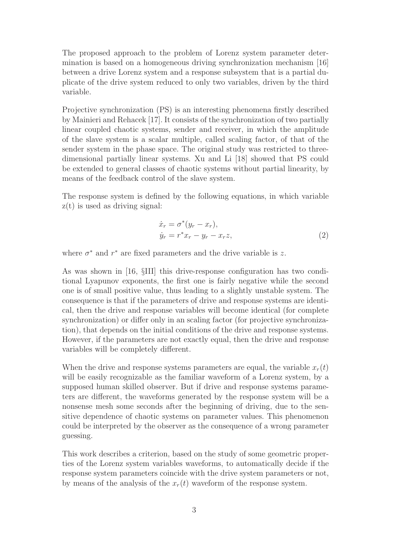The proposed approach to the problem of Lorenz system parameter determination is based on a homogeneous driving synchronization mechanism [16] between a drive Lorenz system and a response subsystem that is a partial duplicate of the drive system reduced to only two variables, driven by the third variable.

Projective synchronization (PS) is an interesting phenomena firstly described by Mainieri and Rehacek [17]. It consists of the synchronization of two partially linear coupled chaotic systems, sender and receiver, in which the amplitude of the slave system is a scalar multiple, called scaling factor, of that of the sender system in the phase space. The original study was restricted to threedimensional partially linear systems. Xu and Li [18] showed that PS could be extended to general classes of chaotic systems without partial linearity, by means of the feedback control of the slave system.

The response system is defined by the following equations, in which variable z(t) is used as driving signal:

$$
\begin{aligned}\n\dot{x}_r &= \sigma^*(y_r - x_r), \\
\dot{y}_r &= r^*x_r - y_r - x_r z,\n\end{aligned} \n\tag{2}
$$

where  $\sigma^*$  and  $r^*$  are fixed parameters and the drive variable is z.

As was shown in [16, §III] this drive-response configuration has two conditional Lyapunov exponents, the first one is fairly negative while the second one is of small positive value, thus leading to a slightly unstable system. The consequence is that if the parameters of drive and response systems are identical, then the drive and response variables will become identical (for complete synchronization) or differ only in an scaling factor (for projective synchronization), that depends on the initial conditions of the drive and response systems. However, if the parameters are not exactly equal, then the drive and response variables will be completely different.

When the drive and response systems parameters are equal, the variable  $x_r(t)$ will be easily recognizable as the familiar waveform of a Lorenz system, by a supposed human skilled observer. But if drive and response systems parameters are different, the waveforms generated by the response system will be a nonsense mesh some seconds after the beginning of driving, due to the sensitive dependence of chaotic systems on parameter values. This phenomenon could be interpreted by the observer as the consequence of a wrong parameter guessing.

This work describes a criterion, based on the study of some geometric properties of the Lorenz system variables waveforms, to automatically decide if the response system parameters coincide with the drive system parameters or not, by means of the analysis of the  $x_r(t)$  waveform of the response system.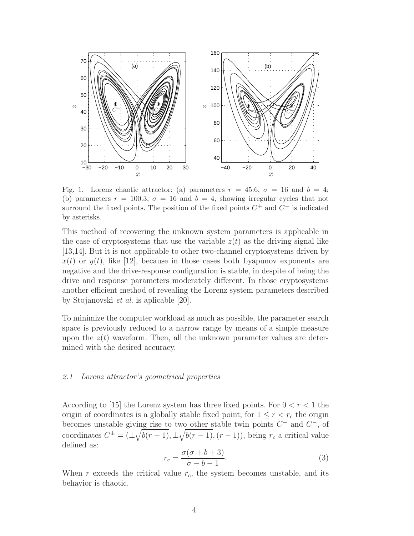

Fig. 1. Lorenz chaotic attractor: (a) parameters  $r = 45.6$ ,  $\sigma = 16$  and  $b = 4$ ; (b) parameters  $r = 100.3$ ,  $\sigma = 16$  and  $b = 4$ , showing irregular cycles that not surround the fixed points. The position of the fixed points  $C^+$  and  $C^-$  is indicated by asterisks.

This method of recovering the unknown system parameters is applicable in the case of cryptosystems that use the variable  $z(t)$  as the driving signal like [13,14]. But it is not applicable to other two-channel cryptosystems driven by  $x(t)$  or  $y(t)$ , like [12], because in those cases both Lyapunov exponents are negative and the drive-response configuration is stable, in despite of being the drive and response parameters moderately different. In those cryptosystems another efficient method of revealing the Lorenz system parameters described by Stojanovski et al. is aplicable [20].

To minimize the computer workload as much as possible, the parameter search space is previously reduced to a narrow range by means of a simple measure upon the  $z(t)$  waveform. Then, all the unknown parameter values are determined with the desired accuracy.

# 2.1 Lorenz attractor's geometrical properties

According to [15] the Lorenz system has three fixed points. For  $0 < r < 1$  the origin of coordinates is a globally stable fixed point; for  $1 \leq r < r_c$  the origin becomes unstable giving rise to two other stable twin points  $C^+$  and  $C^-$ , of coordinates  $C^{\pm} = (\pm \sqrt{b(r-1)}, \pm \sqrt{b(r-1)}, (r-1))$ , being  $r_c$  a critical value defined as:

$$
r_c = \frac{\sigma(\sigma + b + 3)}{\sigma - b - 1}.\tag{3}
$$

When r exceeds the critical value  $r_c$ , the system becomes unstable, and its behavior is chaotic.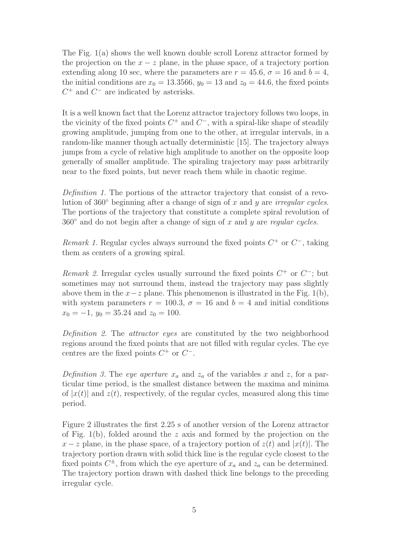The Fig. 1(a) shows the well known double scroll Lorenz attractor formed by the projection on the  $x - z$  plane, in the phase space, of a trajectory portion extending along 10 sec, where the parameters are  $r = 45.6$ ,  $\sigma = 16$  and  $b = 4$ , the initial conditions are  $x_0 = 13.3566$ ,  $y_0 = 13$  and  $z_0 = 44.6$ , the fixed points  $C^+$  and  $C^-$  are indicated by asterisks.

It is a well known fact that the Lorenz attractor trajectory follows two loops, in the vicinity of the fixed points  $C^+$  and  $C^-$ , with a spiral-like shape of steadily growing amplitude, jumping from one to the other, at irregular intervals, in a random-like manner though actually deterministic [15]. The trajectory always jumps from a cycle of relative high amplitude to another on the opposite loop generally of smaller amplitude. The spiraling trajectory may pass arbitrarily near to the fixed points, but never reach them while in chaotic regime.

Definition 1. The portions of the attractor trajectory that consist of a revolution of 360 $\degree$  beginning after a change of sign of x and y are *irregular cycles*. The portions of the trajectory that constitute a complete spiral revolution of  $360°$  and do not begin after a change of sign of x and y are regular cycles.

Remark 1. Regular cycles always surround the fixed points  $C^+$  or  $C^-$ , taking them as centers of a growing spiral.

Remark 2. Irregular cycles usually surround the fixed points  $C^+$  or  $C^-$ ; but sometimes may not surround them, instead the trajectory may pass slightly above them in the  $x-z$  plane. This phenomenon is illustrated in the Fig. 1(b), with system parameters  $r = 100.3$ ,  $\sigma = 16$  and  $b = 4$  and initial conditions  $x_0 = -1$ ,  $y_0 = 35.24$  and  $z_0 = 100$ .

Definition 2. The attractor eyes are constituted by the two neighborhood regions around the fixed points that are not filled with regular cycles. The eye centres are the fixed points  $C^+$  or  $C^-$ .

Definition 3. The eye aperture  $x_a$  and  $z_a$  of the variables x and z, for a particular time period, is the smallest distance between the maxima and minima of  $|x(t)|$  and  $z(t)$ , respectively, of the regular cycles, measured along this time period.

Figure 2 illustrates the first 2.25 s of another version of the Lorenz attractor of Fig. 1(b), folded around the z axis and formed by the projection on the  $x - z$  plane, in the phase space, of a trajectory portion of  $z(t)$  and  $|x(t)|$ . The trajectory portion drawn with solid thick line is the regular cycle closest to the fixed points  $C^{\pm}$ , from which the eye aperture of  $x_a$  and  $z_a$  can be determined. The trajectory portion drawn with dashed thick line belongs to the preceding irregular cycle.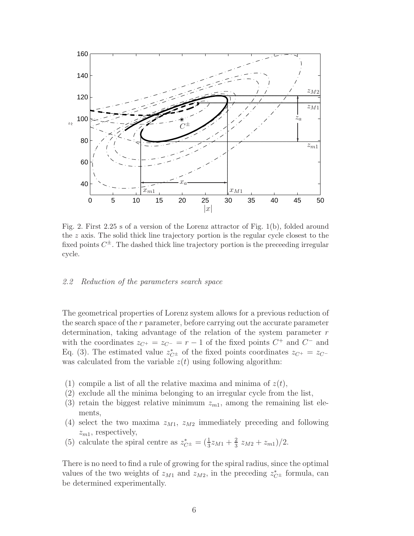

Fig. 2. First 2.25 s of a version of the Lorenz attractor of Fig. 1(b), folded around the  $z$  axis. The solid thick line trajectory portion is the regular cycle closest to the fixed points  $C^{\pm}$ . The dashed thick line trajectory portion is the preceeding irregular cycle.

### 2.2 Reduction of the parameters search space

The geometrical properties of Lorenz system allows for a previous reduction of the search space of the  $r$  parameter, before carrying out the accurate parameter determination, taking advantage of the relation of the system parameter  $r$ with the coordinates  $z_{C^+} = z_{C^-} = r - 1$  of the fixed points  $C^+$  and  $C^-$  and Eq. (3). The estimated value  $z_{C^{\pm}}^{*}$  of the fixed points coordinates  $z_{C^{+}} = z_{C^{-}}$ was calculated from the variable  $z(t)$  using following algorithm:

- (1) compile a list of all the relative maxima and minima of  $z(t)$ ,
- (2) exclude all the minima belonging to an irregular cycle from the list,
- (3) retain the biggest relative minimum  $z_{m1}$ , among the remaining list elements,
- (4) select the two maxima  $z_{M1}$ ,  $z_{M2}$  immediately preceding and following  $z_{m1}$ , respectively,
- (5) calculate the spiral centre as  $z_{C^{\pm}}^{*} = \left(\frac{1}{3}z_{M1} + \frac{2}{3}\right)$  $\frac{2}{3} z_{M2} + z_{m1})/2.$

There is no need to find a rule of growing for the spiral radius, since the optimal values of the two weights of  $z_{M1}$  and  $z_{M2}$ , in the preceding  $z_{C}^*$  formula, can be determined experimentally.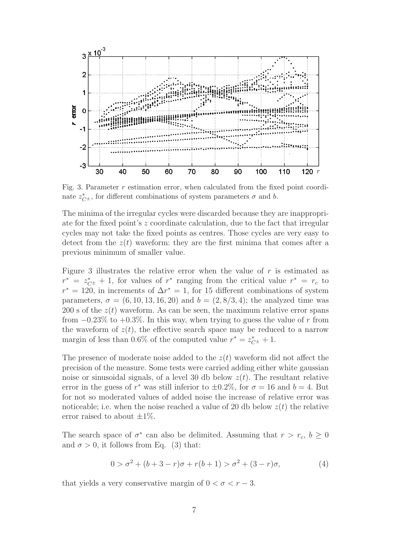

Fig. 3. Parameter  $r$  estimation error, when calculated from the fixed point coordinate  $z_{C^{\pm}}^{*}$ , for different combinations of system parameters  $\sigma$  and b.

The minima of the irregular cycles were discarded because they are inappropriate for the fixed point's z coordinate calculation, due to the fact that irregular cycles may not take the fixed points as centres. Those cycles are very easy to detect from the  $z(t)$  waveform: they are the first minima that comes after a previous minimum of smaller value.

Figure 3 illustrates the relative error when the value of  $r$  is estimated as  $r^* = z_{C^{\pm}}^* + 1$ , for values of  $r^*$  ranging from the critical value  $r^* = r_c$  to  $r^* = 120$ , in increments of  $\Delta r^* = 1$ , for 15 different combinations of system parameters,  $\sigma = (6, 10, 13, 16, 20)$  and  $b = (2, 8/3, 4)$ ; the analyzed time was 200 s of the  $z(t)$  waveform. As can be seen, the maximum relative error spans from  $-0.23\%$  to  $+0.3\%$ . In this way, when trying to guess the value of r from the waveform of  $z(t)$ , the effective search space may be reduced to a narrow margin of less than 0.6% of the computed value  $r^* = z_{C^{\pm}}^* + 1$ .

The presence of moderate noise added to the  $z(t)$  waveform did not affect the precision of the measure. Some tests were carried adding either white gaussian noise or sinusoidal signals, of a level 30 db below  $z(t)$ . The resultant relative error in the guess of  $r^*$  was still inferior to  $\pm 0.2\%$ , for  $\sigma = 16$  and  $b = 4$ . But for not so moderated values of added noise the increase of relative error was noticeable; i.e. when the noise reached a value of 20 db below  $z(t)$  the relative error raised to about  $\pm 1\%$ .

The search space of  $\sigma^*$  can also be delimited. Assuming that  $r > r_c$ ,  $b \geq 0$ and  $\sigma > 0$ , it follows from Eq. (3) that:

$$
0 > \sigma^2 + (b+3-r)\sigma + r(b+1) > \sigma^2 + (3-r)\sigma,
$$
\n(4)

that yields a very conservative margin of  $0 < \sigma < r - 3$ .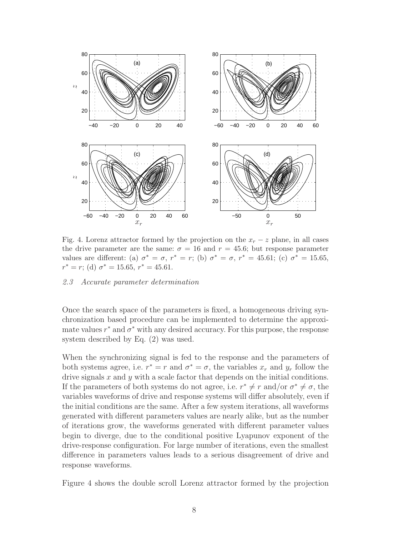

Fig. 4. Lorenz attractor formed by the projection on the  $x_r - z$  plane, in all cases the drive parameter are the same:  $\sigma = 16$  and  $r = 45.6$ ; but response parameter values are different: (a)  $\sigma^* = \sigma$ ,  $r^* = r$ ; (b)  $\sigma^* = \sigma$ ,  $r^* = 45.61$ ; (c)  $\sigma^* = 15.65$ ,  $r^* = r$ ; (d)  $\sigma^* = 15.65, r^* = 45.61.$ 

### 2.3 Accurate parameter determination

Once the search space of the parameters is fixed, a homogeneous driving synchronization based procedure can be implemented to determine the approximate values  $r^*$  and  $\sigma^*$  with any desired accuracy. For this purpose, the response system described by Eq. (2) was used.

When the synchronizing signal is fed to the response and the parameters of both systems agree, i.e.  $r^* = r$  and  $\sigma^* = \sigma$ , the variables  $x_r$  and  $y_r$  follow the drive signals  $x$  and  $y$  with a scale factor that depends on the initial conditions. If the parameters of both systems do not agree, i.e.  $r^* \neq r$  and/or  $\sigma^* \neq \sigma$ , the variables waveforms of drive and response systems will differ absolutely, even if the initial conditions are the same. After a few system iterations, all waveforms generated with different parameters values are nearly alike, but as the number of iterations grow, the waveforms generated with different parameter values begin to diverge, due to the conditional positive Lyapunov exponent of the drive-response configuration. For large number of iterations, even the smallest difference in parameters values leads to a serious disagreement of drive and response waveforms.

Figure 4 shows the double scroll Lorenz attractor formed by the projection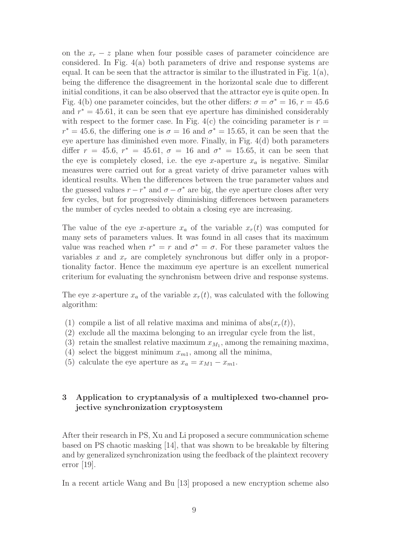on the  $x_r - z$  plane when four possible cases of parameter coincidence are considered. In Fig. 4(a) both parameters of drive and response systems are equal. It can be seen that the attractor is similar to the illustrated in Fig.  $1(a)$ , being the difference the disagreement in the horizontal scale due to different initial conditions, it can be also observed that the attractor eye is quite open. In Fig. 4(b) one parameter coincides, but the other differs:  $\sigma = \sigma^* = 16$ ,  $r = 45.6$ and  $r^* = 45.61$ , it can be seen that eye aperture has diminished considerably with respect to the former case. In Fig. 4(c) the coinciding parameter is  $r =$  $r^* = 45.6$ , the differing one is  $\sigma = 16$  and  $\sigma^* = 15.65$ , it can be seen that the eye aperture has diminished even more. Finally, in Fig. 4(d) both parameters differ  $r = 45.6$ ,  $r^* = 45.61$ ,  $\sigma = 16$  and  $\sigma^* = 15.65$ , it can be seen that the eye is completely closed, i.e. the eye x-aperture  $x_a$  is negative. Similar measures were carried out for a great variety of drive parameter values with identical results. When the differences between the true parameter values and the guessed values  $r - r^*$  and  $\sigma - \sigma^*$  are big, the eye aperture closes after very few cycles, but for progressively diminishing differences between parameters the number of cycles needed to obtain a closing eye are increasing.

The value of the eye x-aperture  $x_a$  of the variable  $x_r(t)$  was computed for many sets of parameters values. It was found in all cases that its maximum value was reached when  $r^* = r$  and  $\sigma^* = \sigma$ . For these parameter values the variables x and  $x_r$  are completely synchronous but differ only in a proportionality factor. Hence the maximum eye aperture is an excellent numerical criterium for evaluating the synchronism between drive and response systems.

The eye x-aperture  $x_a$  of the variable  $x_r(t)$ , was calculated with the following algorithm:

- (1) compile a list of all relative maxima and minima of  $abs(x_r(t)),$
- (2) exclude all the maxima belonging to an irregular cycle from the list,
- (3) retain the smallest relative maximum  $x_{M_1}$ , among the remaining maxima,
- (4) select the biggest minimum  $x_{m1}$ , among all the minima,
- (5) calculate the eye aperture as  $x_a = x_{M1} x_{m1}$ .

# 3 Application to cryptanalysis of a multiplexed two-channel projective synchronization cryptosystem

After their research in PS, Xu and Li proposed a secure communication scheme based on PS chaotic masking [14], that was shown to be breakable by filtering and by generalized synchronization using the feedback of the plaintext recovery error [19].

In a recent article Wang and Bu [13] proposed a new encryption scheme also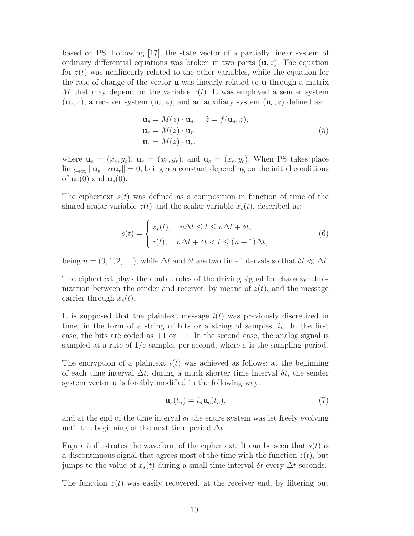based on PS. Following [17], the state vector of a partially linear system of ordinary differential equations was broken in two parts  $(u, z)$ . The equation for  $z(t)$  was nonlinearly related to the other variables, while the equation for the rate of change of the vector u was linearly related to u through a matrix M that may depend on the variable  $z(t)$ . It was employed a sender system  $(\mathbf{u}_s, z)$ , a receiver system  $(\mathbf{u}_r, z)$ , and an auxiliary system  $(\mathbf{u}_c, z)$  defined as:

$$
\dot{\mathbf{u}}_s = M(z) \cdot \mathbf{u}_s, \quad \dot{z} = f(\mathbf{u}_s, z), \n\dot{\mathbf{u}}_r = M(z) \cdot \mathbf{u}_r, \n\dot{\mathbf{u}}_c = M(z) \cdot \mathbf{u}_c,
$$
\n(5)

where  $\mathbf{u}_s = (x_s, y_s)$ ,  $\mathbf{u}_r = (x_r, y_r)$ , and  $\mathbf{u}_c = (x_c, y_c)$ . When PS takes place  $\lim_{t\to\infty} ||\mathbf{u}_s-\alpha\mathbf{u}_r||=0$ , being  $\alpha$  a constant depending on the initial conditions of  $\mathbf{u}_r(0)$  and  $\mathbf{u}_s(0)$ .

The ciphertext  $s(t)$  was defined as a composition in function of time of the shared scalar variable  $z(t)$  and the scalar variable  $x<sub>s</sub>(t)$ , described as:

$$
s(t) = \begin{cases} x_s(t), & n\Delta t \le t \le n\Delta t + \delta t, \\ z(t), & n\Delta t + \delta t < t \le (n+1)\Delta t, \end{cases}
$$
(6)

being  $n = (0, 1, 2, \ldots)$ , while  $\Delta t$  and  $\delta t$  are two time intervals so that  $\delta t \ll \Delta t$ .

The ciphertext plays the double roles of the driving signal for chaos synchronization between the sender and receiver, by means of  $z(t)$ , and the message carrier through  $x_s(t)$ .

It is supposed that the plaintext message  $i(t)$  was previously discretized in time, in the form of a string of bits or a string of samples,  $i_n$ . In the first case, the bits are coded as  $+1$  or  $-1$ . In the second case, the analog signal is sampled at a rate of  $1/\varepsilon$  samples per second, where  $\varepsilon$  is the sampling period.

The encryption of a plaintext  $i(t)$  was achieved as follows: at the beginning of each time interval  $\Delta t$ , during a much shorter time interval  $\delta t$ , the sender system vector **u** is forcibly modified in the following way:

$$
\mathbf{u}_s(t_n) = i_n \mathbf{u}_c(t_n),\tag{7}
$$

and at the end of the time interval  $\delta t$  the entire system was let freely evolving until the beginning of the next time period  $\Delta t$ .

Figure 5 illustrates the waveform of the ciphertext. It can be seen that  $s(t)$  is a discontinuous signal that agrees most of the time with the function  $z(t)$ , but jumps to the value of  $x_s(t)$  during a small time interval  $\delta t$  every  $\Delta t$  seconds.

The function  $z(t)$  was easily recovered, at the receiver end, by filtering out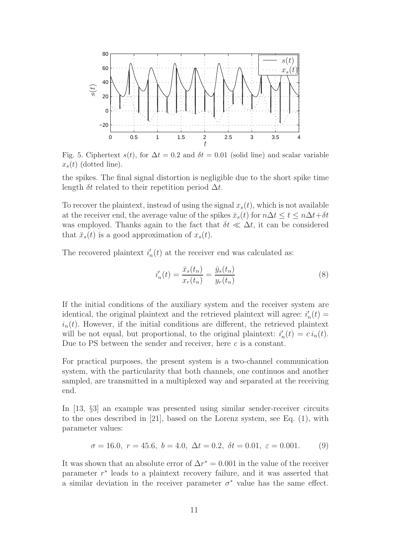

Fig. 5. Ciphertext  $s(t)$ , for  $\Delta t = 0.2$  and  $\delta t = 0.01$  (solid line) and scalar variable  $x_s(t)$  (dotted line).

the spikes. The final signal distortion is negligible due to the short spike time length  $\delta t$  related to their repetition period  $\Delta t$ .

To recover the plaintext, instead of using the signal  $x<sub>s</sub>(t)$ , which is not available at the receiver end, the average value of the spikes  $\bar{x}_s(t)$  for  $n\Delta t \leq t \leq n\Delta t + \delta t$ was employed. Thanks again to the fact that  $\delta t \ll \Delta t$ , it can be considered that  $\bar{x}_s(t)$  is a good approximation of  $x_s(t)$ .

The recovered plaintext  $i'_i$  $n(n)$  at the receiver end was calculated as:

$$
i'_{n}(t) = \frac{\bar{x}_{s}(t_{n})}{x_{r}(t_{n})} = \frac{\bar{y}_{s}(t_{n})}{y_{r}(t_{n})}
$$
\n(8)

If the initial conditions of the auxiliary system and the receiver system are identical, the original plaintext and the retrieved plaintext will agree:  $i'_i$  $_n'(t) =$  $i_n(t)$ . However, if the initial conditions are different, the retrieved plaintext will be not equal, but proportional, to the original plaintext:  $i'_i$  $n'(t) = c i_n(t).$ Due to PS between the sender and receiver, here  $c$  is a constant.

For practical purposes, the present system is a two-channel communication system, with the particularity that both channels, one continuos and another sampled, are transmitted in a multiplexed way and separated at the receiving end.

In [13, §3] an example was presented using similar sender-receiver circuits to the ones described in [21], based on the Lorenz system, see Eq. (1), with parameter values:

$$
\sigma = 16.0, r = 45.6, b = 4.0, \Delta t = 0.2, \delta t = 0.01, \varepsilon = 0.001.
$$
 (9)

It was shown that an absolute error of  $\Delta r^* = 0.001$  in the value of the receiver parameter  $r^*$  leads to a plaintext recovery failure, and it was asserted that a similar deviation in the receiver parameter  $\sigma^*$  value has the same effect.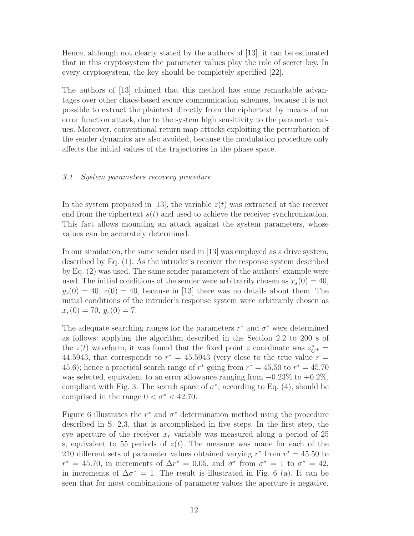Hence, although not clearly stated by the authors of [13], it can be estimated that in this cryptosystem the parameter values play the role of secret key. In every cryptosystem, the key should be completely specified [22].

The authors of [13] claimed that this method has some remarkable advantages over other chaos-based secure communication schemes, because it is not possible to extract the plaintext directly from the ciphertext by means of an error function attack, due to the system high sensitivity to the parameter values. Moreover, conventional return map attacks exploiting the perturbation of the sender dynamics are also avoided, because the modulation procedure only affects the initial values of the trajectories in the phase space.

### 3.1 System parameters recovery procedure

In the system proposed in [13], the variable  $z(t)$  was extracted at the receiver end from the ciphertext  $s(t)$  and used to achieve the receiver synchronization. This fact allows mounting an attack against the system parameters, whose values can be accurately determined.

In our simulation, the same sender used in [13] was employed as a drive system, described by Eq. (1). As the intruder's receiver the response system described by Eq. (2) was used. The same sender parameters of the authors' example were used. The initial conditions of the sender were arbitrarily chosen as  $x_s(0) = 40$ ,  $y_s(0) = 40, z(0) = 40$ , because in [13] there was no details about them. The initial conditions of the intruder's response system were arbitrarily chosen as  $x_r(0) = 70, y_r(0) = 7.$ 

The adequate searching ranges for the parameters  $r^*$  and  $\sigma^*$  were determined as follows: applying the algorithm described in the Section 2.2 to 200 s of the  $z(t)$  waveform, it was found that the fixed point z coordinate was  $z_{C^{\pm}}^* =$ 44.5943, that corresponds to  $r^* = 45.5943$  (very close to the true value  $r =$ 45.6); hence a practical search range of  $r^*$  going from  $r^* = 45.50$  to  $r^* = 45.70$ was selected, equivalent to an error allowance ranging from  $-0.23\%$  to  $+0.2\%$ , compliant with Fig. 3. The search space of  $\sigma^*$ , according to Eq. (4), should be comprised in the range  $0 < \sigma^* < 42.70$ .

Figure 6 illustrates the  $r^*$  and  $\sigma^*$  determination method using the procedure described in S. 2.3, that is accomplished in five steps. In the first step, the eye aperture of the receiver  $x_r$  variable was measured along a period of 25 s, equivalent to 55 periods of  $z(t)$ . The measure was made for each of the 210 different sets of parameter values obtained varying  $r^*$  from  $r^* = 45.50$  to  $r^* = 45.70$ , in increments of  $\Delta r^* = 0.05$ , and  $\sigma^*$  from  $\sigma^* = 1$  to  $\sigma^* = 42$ , in increments of  $\Delta \sigma^* = 1$ . The result is illustrated in Fig. 6 (a). It can be seen that for most combinations of parameter values the aperture is negative,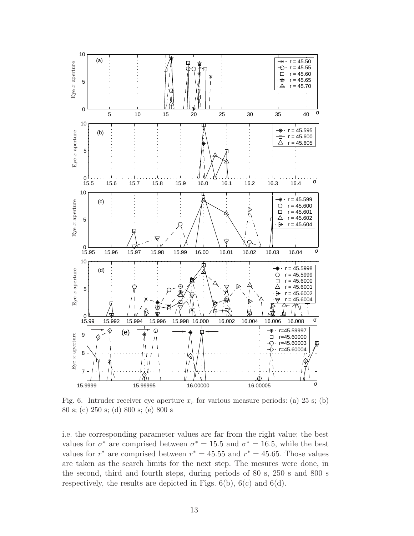

Fig. 6. Intruder receiver eye aperture  $x_r$  for various measure periods: (a) 25 s; (b) 80 s; (c) 250 s; (d) 800 s; (e) 800 s

i.e. the corresponding parameter values are far from the right value; the best values for  $\sigma^*$  are comprised between  $\sigma^* = 15.5$  and  $\sigma^* = 16.5$ , while the best values for  $r^*$  are comprised between  $r^* = 45.55$  and  $r^* = 45.65$ . Those values are taken as the search limits for the next step. The mesures were done, in the second, third and fourth steps, during periods of 80 s, 250 s and 800 s respectively, the results are depicted in Figs.  $6(b)$ ,  $6(c)$  and  $6(d)$ .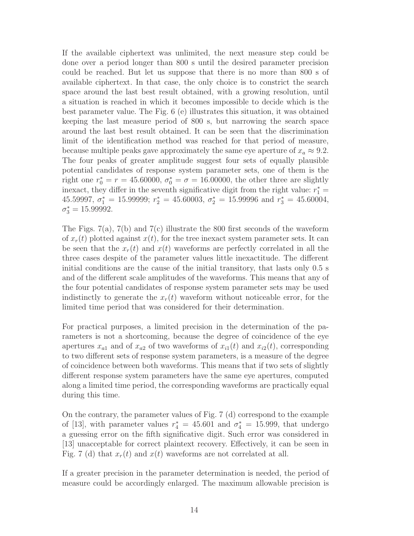If the available ciphertext was unlimited, the next measure step could be done over a period longer than 800 s until the desired parameter precision could be reached. But let us suppose that there is no more than 800 s of available ciphertext. In that case, the only choice is to constrict the search space around the last best result obtained, with a growing resolution, until a situation is reached in which it becomes impossible to decide which is the best parameter value. The Fig. 6 (e) illustrates this situation, it was obtained keeping the last measure period of 800 s, but narrowing the search space around the last best result obtained. It can be seen that the discrimination limit of the identification method was reached for that period of measure, because multiple peaks gave approximately the same eye aperture of  $x_a \approx 9.2$ . The four peaks of greater amplitude suggest four sets of equally plausible potential candidates of response system parameter sets, one of them is the right one  $r_0^* = r = 45.60000, \sigma_0^* = \sigma = 16.00000$ , the other three are slightly inexact, they differ in the seventh significative digit from the right value:  $r_1^* =$ 45.59997,  $\sigma_1^* = 15.99999$ ;  $r_2^* = 45.60003$ ,  $\sigma_2^* = 15.99996$  and  $r_3^* = 45.60004$ ,  $\sigma_3^* = 15.99992.$ 

The Figs.  $7(a)$ ,  $7(b)$  and  $7(c)$  illustrate the 800 first seconds of the waveform of  $x_r(t)$  plotted against  $x(t)$ , for the tree inexact system parameter sets. It can be seen that the  $x_r(t)$  and  $x(t)$  waveforms are perfectly correlated in all the three cases despite of the parameter values little inexactitude. The different initial conditions are the cause of the initial transitory, that lasts only 0.5 s and of the different scale amplitudes of the waveforms. This means that any of the four potential candidates of response system parameter sets may be used indistinctly to generate the  $x_r(t)$  waveform without noticeable error, for the limited time period that was considered for their determination.

For practical purposes, a limited precision in the determination of the parameters is not a shortcoming, because the degree of coincidence of the eye apertures  $x_{a1}$  and of  $x_{a2}$  of two waveforms of  $x_{i1}(t)$  and  $x_{i2}(t)$ , corresponding to two different sets of response system parameters, is a measure of the degree of coincidence between both waveforms. This means that if two sets of slightly different response system parameters have the same eye apertures, computed along a limited time period, the corresponding waveforms are practically equal during this time.

On the contrary, the parameter values of Fig. 7 (d) correspond to the example of [13], with parameter values  $r_4^* = 45.601$  and  $\sigma_4^* = 15.999$ , that undergo a guessing error on the fifth significative digit. Such error was considered in [13] unacceptable for correct plaintext recovery. Effectively, it can be seen in Fig. 7 (d) that  $x_r(t)$  and  $x(t)$  waveforms are not correlated at all.

If a greater precision in the parameter determination is needed, the period of measure could be accordingly enlarged. The maximum allowable precision is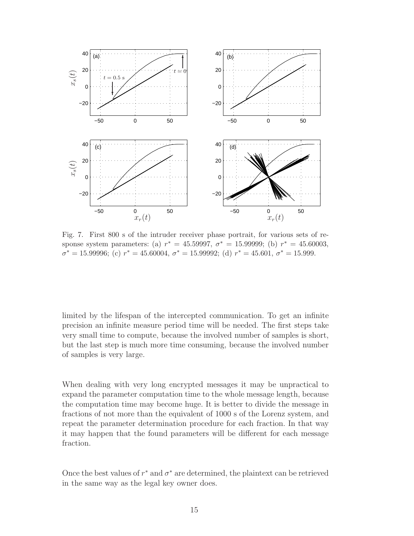

Fig. 7. First 800 s of the intruder receiver phase portrait, for various sets of response system parameters: (a)  $r^* = 45.59997, \sigma^* = 15.99999$ ; (b)  $r^* = 45.60003$ ,  $\sigma^* = 15.99996$ ; (c)  $r^* = 45.60004$ ,  $\sigma^* = 15.99992$ ; (d)  $r^* = 45.601$ ,  $\sigma^* = 15.999$ .

limited by the lifespan of the intercepted communication. To get an infinite precision an infinite measure period time will be needed. The first steps take very small time to compute, because the involved number of samples is short, but the last step is much more time consuming, because the involved number of samples is very large.

When dealing with very long encrypted messages it may be unpractical to expand the parameter computation time to the whole message length, because the computation time may become huge. It is better to divide the message in fractions of not more than the equivalent of 1000 s of the Lorenz system, and repeat the parameter determination procedure for each fraction. In that way it may happen that the found parameters will be different for each message fraction.

Once the best values of  $r^*$  and  $\sigma^*$  are determined, the plaintext can be retrieved in the same way as the legal key owner does.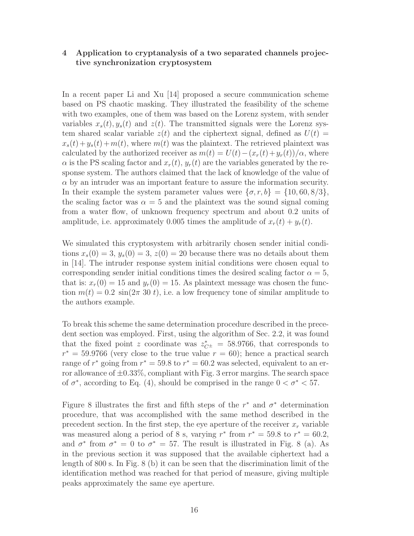# 4 Application to cryptanalysis of a two separated channels projective synchronization cryptosystem

In a recent paper Li and Xu [14] proposed a secure communication scheme based on PS chaotic masking. They illustrated the feasibility of the scheme with two examples, one of them was based on the Lorenz system, with sender variables  $x_s(t)$ ,  $y_s(t)$  and  $z(t)$ . The transmitted signals were the Lorenz system shared scalar variable  $z(t)$  and the ciphertext signal, defined as  $U(t)$  =  $x_s(t)+y_s(t)+m(t)$ , where  $m(t)$  was the plaintext. The retrieved plaintext was calculated by the authorized receiver as  $m(t) = U(t) - (x_r(t) + y_r(t))/\alpha$ , where  $\alpha$  is the PS scaling factor and  $x_r(t)$ ,  $y_r(t)$  are the variables generated by the response system. The authors claimed that the lack of knowledge of the value of  $\alpha$  by an intruder was an important feature to assure the information security. In their example the system parameter values were  $\{\sigma, r, b\} = \{10, 60, 8/3\}$ , the scaling factor was  $\alpha = 5$  and the plaintext was the sound signal coming from a water flow, of unknown frequency spectrum and about 0.2 units of amplitude, i.e. approximately 0.005 times the amplitude of  $x_r(t) + y_r(t)$ .

We simulated this cryptosystem with arbitrarily chosen sender initial conditions  $x_s(0) = 3$ ,  $y_s(0) = 3$ ,  $z(0) = 20$  because there was no details about them in [14]. The intruder response system initial conditions were chosen equal to corresponding sender initial conditions times the desired scaling factor  $\alpha = 5$ , that is:  $x_r(0) = 15$  and  $y_r(0) = 15$ . As plaintext message was chosen the function  $m(t) = 0.2 \sin(2\pi 30 t)$ , i.e. a low frequency tone of similar amplitude to the authors example.

To break this scheme the same determination procedure described in the precedent section was employed. First, using the algorithm of Sec. 2.2, it was found that the fixed point z coordinate was  $z_{C^{\pm}}^{*} = 58.9766$ , that corresponds to  $r^* = 59.9766$  (very close to the true value  $r = 60$ ); hence a practical search range of  $r^*$  going from  $r^* = 59.8$  to  $r^* = 60.2$  was selected, equivalent to an error allowance of  $\pm 0.33\%$ , compliant with Fig. 3 error margins. The search space of  $\sigma^*$ , according to Eq. (4), should be comprised in the range  $0 < \sigma^* < 57$ .

Figure 8 illustrates the first and fifth steps of the  $r^*$  and  $\sigma^*$  determination procedure, that was accomplished with the same method described in the precedent section. In the first step, the eye aperture of the receiver  $x_r$  variable was measured along a period of 8 s, varying  $r^*$  from  $r^* = 59.8$  to  $r^* = 60.2$ , and  $\sigma^*$  from  $\sigma^* = 0$  to  $\sigma^* = 57$ . The result is illustrated in Fig. 8 (a). As in the previous section it was supposed that the available ciphertext had a length of 800 s. In Fig. 8 (b) it can be seen that the discrimination limit of the identification method was reached for that period of measure, giving multiple peaks approximately the same eye aperture.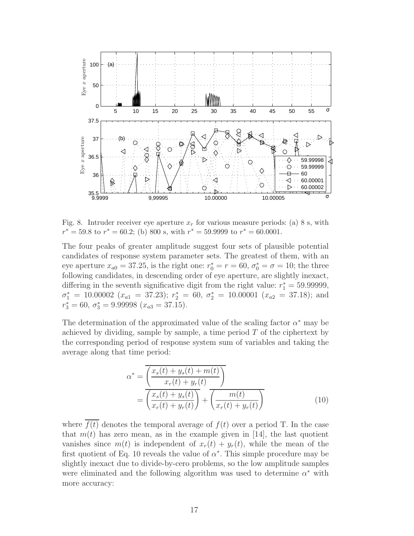

Fig. 8. Intruder receiver eye aperture  $x_r$  for various measure periods: (a) 8 s, with  $r^* = 59.8$  to  $r^* = 60.2$ ; (b) 800 s, with  $r^* = 59.9999$  to  $r^* = 60.0001$ .

The four peaks of greater amplitude suggest four sets of plausible potential candidates of response system parameter sets. The greatest of them, with an eye aperture  $x_{a0} = 37.25$ , is the right one:  $r_0^* = r = 60$ ,  $\sigma_0^* = \sigma = 10$ ; the three following candidates, in descending order of eye aperture, are slightly inexact, differing in the seventh significative digit from the right value:  $r_1^* = 59.99999$ ,  $\sigma_1^* = 10.00002$  ( $x_{a1} = 37.23$ );  $r_2^* = 60, \sigma_2^* = 10.00001$  ( $x_{a2} = 37.18$ ); and  $r_3^* = 60, \ \sigma_3^* = 9.99998 \ (x_{a3} = 37.15).$ 

The determination of the approximated value of the scaling factor  $\alpha^*$  may be achieved by dividing, sample by sample, a time period  $T$  of the ciphertext by the corresponding period of response system sum of variables and taking the average along that time period:

$$
\alpha^* = \overline{\left(\frac{x_s(t) + y_s(t) + m(t)}{x_r(t) + y_r(t)}\right)}
$$

$$
= \overline{\left(\frac{x_s(t) + y_s(t)}{x_r(t) + y_r(t)}\right)} + \overline{\left(\frac{m(t)}{x_r(t) + y_r(t)}\right)}
$$
(10)

where  $\overline{f(t)}$  denotes the temporal average of  $f(t)$  over a period T. In the case that  $m(t)$  has zero mean, as in the example given in [14], the last quotient vanishes since  $m(t)$  is independent of  $x_r(t) + y_r(t)$ , while the mean of the first quotient of Eq. 10 reveals the value of  $\alpha^*$ . This simple procedure may be slightly inexact due to divide-by-cero problems, so the low amplitude samples were eliminated and the following algorithm was used to determine  $\alpha^*$  with more accuracy: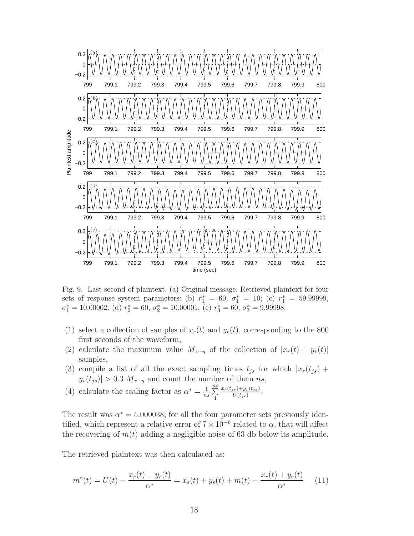

Fig. 9. Last second of plaintext. (a) Original message. Retrieved plaintext for four sets of response system parameters: (b)  $r_1^* = 60, \sigma_1^* = 10$ ; (c)  $r_1^* = 59.99999$ ,

 $\sigma_1^* = 10.00002$ ; (d)  $r_2^* = 60$ ,  $\sigma_2^* = 10.00001$ ; (e)  $r_3^* = 60$ ,  $\sigma_3^* = 9.99998$ .

- (1) select a collection of samples of  $x_r(t)$  and  $y_r(t)$ , corresponding to the 800 first seconds of the waveform,
- (2) calculate the maximum value  $M_{x+y}$  of the collection of  $|x_r(t) + y_r(t)|$ samples,
- (3) compile a list of all the exact sampling times  $t_{js}$  for which  $|x_r(t_{js}) +$  $|y_r(t_{js})| > 0.3$   $M_{x+y}$  and count the number of them ns,
- (4) calculate the scaling factor as  $\alpha^* = \frac{1}{n}$  $rac{1}{ns}$  $\sum_{1}^{ns}$ 1  $x_r(t_{js})+y_r(t_{js})$  $\frac{y_i(y+y_r(t_{js})}{U(t_{js})}$ .

The result was  $\alpha^* = 5.000038$ , for all the four parameter sets previously identified, which represent a relative error of  $7 \times 10^{-6}$  related to  $\alpha$ , that will affect the recovering of  $m(t)$  adding a negligible noise of 63 db below its amplitude.

The retrieved plaintext was then calculated as:

$$
m^*(t) = U(t) - \frac{x_r(t) + y_r(t)}{\alpha^*} = x_s(t) + y_s(t) + m(t) - \frac{x_r(t) + y_r(t)}{\alpha^*}
$$
 (11)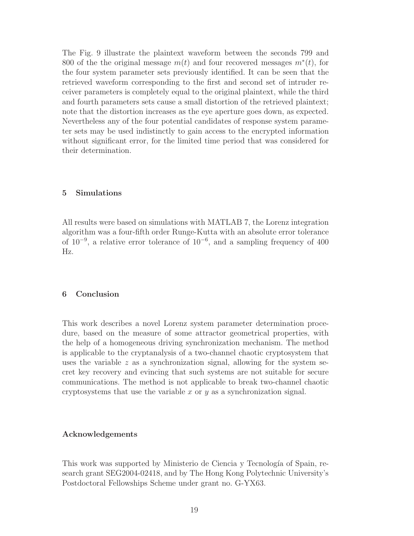The Fig. 9 illustrate the plaintext waveform between the seconds 799 and 800 of the the original message  $m(t)$  and four recovered messages  $m^*(t)$ , for the four system parameter sets previously identified. It can be seen that the retrieved waveform corresponding to the first and second set of intruder receiver parameters is completely equal to the original plaintext, while the third and fourth parameters sets cause a small distortion of the retrieved plaintext; note that the distortion increases as the eye aperture goes down, as expected. Nevertheless any of the four potential candidates of response system parameter sets may be used indistinctly to gain access to the encrypted information without significant error, for the limited time period that was considered for their determination.

# 5 Simulations

All results were based on simulations with MATLAB 7, the Lorenz integration algorithm was a four-fifth order Runge-Kutta with an absolute error tolerance of 10<sup>−</sup><sup>9</sup> , a relative error tolerance of 10<sup>−</sup><sup>6</sup> , and a sampling frequency of 400 Hz.

# 6 Conclusion

This work describes a novel Lorenz system parameter determination procedure, based on the measure of some attractor geometrical properties, with the help of a homogeneous driving synchronization mechanism. The method is applicable to the cryptanalysis of a two-channel chaotic cryptosystem that uses the variable  $z$  as a synchronization signal, allowing for the system secret key recovery and evincing that such systems are not suitable for secure communications. The method is not applicable to break two-channel chaotic cryptosystems that use the variable  $x$  or  $y$  as a synchronization signal.

### Acknowledgements

This work was supported by Ministerio de Ciencia y Tecnología of Spain, research grant SEG2004-02418, and by The Hong Kong Polytechnic University's Postdoctoral Fellowships Scheme under grant no. G-YX63.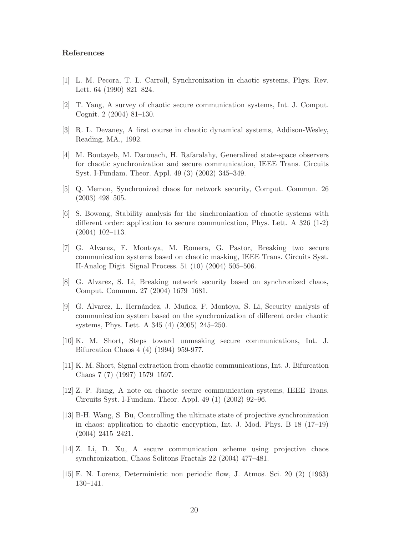# References

- [1] L. M. Pecora, T. L. Carroll, Synchronization in chaotic systems, Phys. Rev. Lett. 64 (1990) 821–824.
- [2] T. Yang, A survey of chaotic secure communication systems, Int. J. Comput. Cognit. 2 (2004) 81–130.
- [3] R. L. Devaney, A first course in chaotic dynamical systems, Addison-Wesley, Reading, MA., 1992.
- [4] M. Boutayeb, M. Darouach, H. Rafaralahy, Generalized state-space observers for chaotic synchronization and secure communication, IEEE Trans. Circuits Syst. I-Fundam. Theor. Appl. 49 (3) (2002) 345–349.
- [5] Q. Memon, Synchronized chaos for network security, Comput. Commun. 26 (2003) 498–505.
- [6] S. Bowong, Stability analysis for the sinchronization of chaotic systems with different order: application to secure communication, Phys. Lett. A 326 (1-2) (2004) 102–113.
- [7] G. Alvarez, F. Montoya, M. Romera, G. Pastor, Breaking two secure communication systems based on chaotic masking, IEEE Trans. Circuits Syst. II-Analog Digit. Signal Process. 51 (10) (2004) 505–506.
- [8] G. Alvarez, S. Li, Breaking network security based on synchronized chaos, Comput. Commun. 27 (2004) 1679–1681.
- [9] G. Alvarez, L. Hern´andez, J. Mu˜noz, F. Montoya, S. Li, Security analysis of communication system based on the synchronization of different order chaotic systems, Phys. Lett. A 345 (4) (2005) 245–250.
- [10] K. M. Short, Steps toward unmasking secure communications, Int. J. Bifurcation Chaos 4 (4) (1994) 959-977.
- [11] K. M. Short, Signal extraction from chaotic communications, Int. J. Bifurcation Chaos 7 (7) (1997) 1579–1597.
- [12] Z. P. Jiang, A note on chaotic secure communication systems, IEEE Trans. Circuits Syst. I-Fundam. Theor. Appl. 49 (1) (2002) 92–96.
- [13] B-H. Wang, S. Bu, Controlling the ultimate state of projective synchronization in chaos: application to chaotic encryption, Int. J. Mod. Phys. B 18 (17–19) (2004) 2415–2421.
- [14] Z. Li, D. Xu, A secure communication scheme using projective chaos synchronization, Chaos Solitons Fractals 22 (2004) 477–481.
- [15] E. N. Lorenz, Deterministic non periodic flow, J. Atmos. Sci. 20 (2) (1963) 130–141.